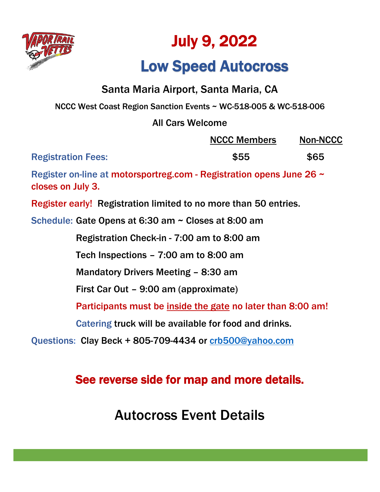

# July 9, 2022

# Low Speed Autocross

### Santa Maria Airport, Santa Maria, CA

NCCC West Coast Region Sanction Events ~ WC-518-005 & WC-518-006

### All Cars Welcome

|                           | <b>NCCC Members</b> | <b>Non-NCCC</b> |
|---------------------------|---------------------|-----------------|
| <b>Registration Fees:</b> | \$55                | \$65            |

Register on-line at motorsportreg.com - Registration opens June 26 ~ closes on July 3.

Register early! Registration limited to no more than 50 entries.

Schedule: Gate Opens at 6:30 am ~ Closes at 8:00 am

Registration Check-in - 7:00 am to 8:00 am

Tech Inspections – 7:00 am to 8:00 am

Mandatory Drivers Meeting – 8:30 am

First Car Out – 9:00 am (approximate)

Participants must be inside the gate no later than 8:00 am!

Catering truck will be available for food and drinks.

Questions: Clay Beck + 805-709-4434 or [crb500@yahoo.com](mailto:crb500@yahoo.com)

### See reverse side for map and more details.

Autocross Event Details